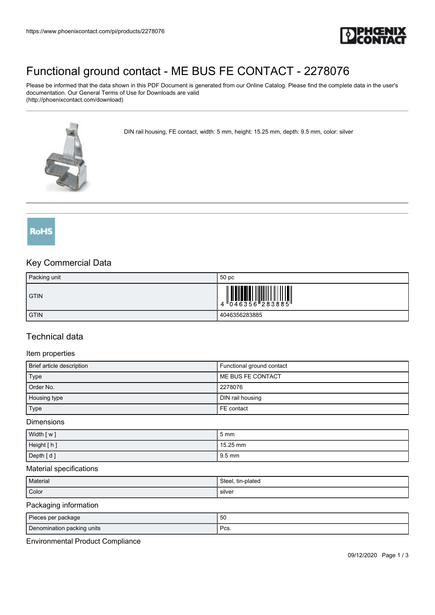

# [Functional ground contact - ME BUS FE CONTACT - 2278076](https://www.phoenixcontact.com/pi/products/2278076)

Please be informed that the data shown in this PDF Document is generated from our Online Catalog. Please find the complete data in the user's documentation. Our General Terms of Use for Downloads are valid (http://phoenixcontact.com/download)

DIN rail housing, FE contact, width: 5 mm, height: 15.25 mm, depth: 9.5 mm, color: silver



RoHS

## Key Commercial Data

| Packing unit | 50 <sub>pc</sub> |
|--------------|------------------|
| <b>GTIN</b>  |                  |
| <b>GTIN</b>  | 4046356283885    |

### Technical data

#### Item properties

| Brief article description | Functional ground contact |
|---------------------------|---------------------------|
| Type                      | l ME BUS FE CONTACT       |
| Order No.                 | 2278076                   |
| Housing type              | DIN rail housing          |
| Type                      | FE contact                |

Dimensions

| Width [w]  | 5 mm            |
|------------|-----------------|
| Height [h] | $15.25$ mm      |
| Depth [d]  | $\sqrt{9.5}$ mm |

#### Material specifications

| Material | Steel, tin-plated |
|----------|-------------------|
| Color    | silver            |

#### Packaging information

| Pieces per package         | 50         |
|----------------------------|------------|
| Denomination packing units | ∍∼<br>ິບວ. |

Environmental Product Compliance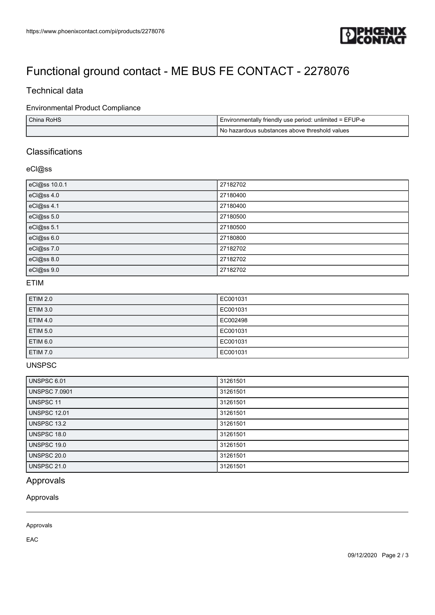

# [Functional ground contact - ME BUS FE CONTACT - 2278076](https://www.phoenixcontact.com/pi/products/2278076)

## Technical data

### Environmental Product Compliance

| China RoHS | Environmentally friendly use period: unlimited = EFUP-e |
|------------|---------------------------------------------------------|
|            | No hazardous substances above threshold values          |

## **Classifications**

#### eCl@ss

| eCl@ss 10.0.1 | 27182702 |
|---------------|----------|
| eCl@ss 4.0    | 27180400 |
| eCl@ss 4.1    | 27180400 |
| eCl@ss 5.0    | 27180500 |
| eCl@ss 5.1    | 27180500 |
| eCl@ss 6.0    | 27180800 |
| eCl@ss 7.0    | 27182702 |
| eCl@ss 8.0    | 27182702 |
| eCl@ss 9.0    | 27182702 |

#### ETIM

| <b>ETIM 2.0</b> | EC001031 |
|-----------------|----------|
| <b>ETIM 3.0</b> | EC001031 |
| <b>ETIM 4.0</b> | EC002498 |
| <b>ETIM 5.0</b> | EC001031 |
| ETIM 6.0        | EC001031 |
| <b>ETIM 7.0</b> | EC001031 |

## **UNSPSC**

| <b>UNSPSC 6.01</b>   | 31261501 |
|----------------------|----------|
| <b>UNSPSC 7.0901</b> | 31261501 |
| <b>UNSPSC 11</b>     | 31261501 |
| <b>UNSPSC 12.01</b>  | 31261501 |
| UNSPSC 13.2          | 31261501 |
| UNSPSC 18.0          | 31261501 |
| UNSPSC 19.0          | 31261501 |
| UNSPSC 20.0          | 31261501 |
| <b>UNSPSC 21.0</b>   | 31261501 |

## Approvals

Approvals

### Approvals

EAC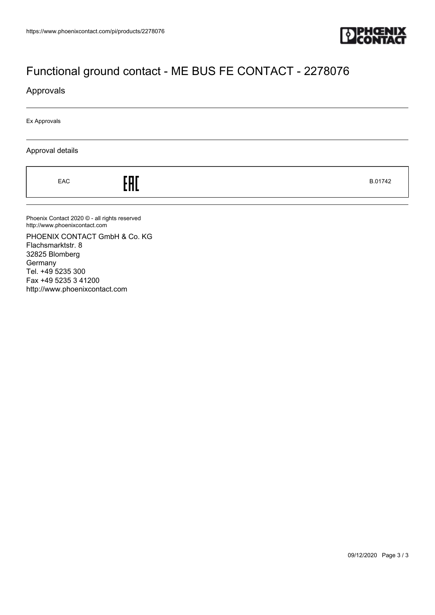

# [Functional ground contact - ME BUS FE CONTACT - 2278076](https://www.phoenixcontact.com/pi/products/2278076)

### Approvals

Ex Approvals

#### Approval details

 $E = 5.01742$ 

Phoenix Contact 2020 © - all rights reserved http://www.phoenixcontact.com

PHOENIX CONTACT GmbH & Co. KG Flachsmarktstr. 8 32825 Blomberg **Germany** Tel. +49 5235 300 Fax +49 5235 3 41200 http://www.phoenixcontact.com

09/12/2020 Page 3 / 3